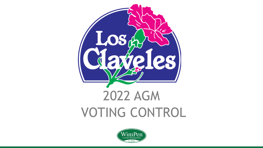

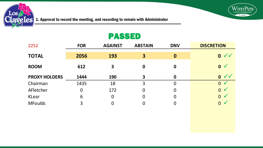

1. Approval to record the meeting, and recording to remain with Administrator

### PASSED

WinnPen

by ONA

| 2252                 | <b>FOR</b> | <b>AGAINST</b> | <b>ABSTAIN</b> | <b>DNV</b> | <b>DISCRETION</b>                 |
|----------------------|------------|----------------|----------------|------------|-----------------------------------|
| <b>TOTAL</b>         | 2056       | 193            | 3              | $\bf{0}$   | $0 \vee \vee$                     |
| <b>ROOM</b>          | 612        | 3              | 0              | 0          | $\mathbf{0}$                      |
| <b>PROXY HOLDERS</b> | 1444       | 190            | 3              | 0          | $\sqrt{\sqrt{2}}$<br>$\mathbf{0}$ |
| Chairman             | 1435       | 18             | 3              | 0          | $\overline{0}$                    |
| AFletcher            | 0          | 172            | $\overline{0}$ | 0          | $\overline{0}$<br>$\sqrt{}$       |
| KLear                | 6          | $\mathbf 0$    | 0              | 0          | $\overline{0}$<br>$\sqrt{}$       |
| <b>MFoulds</b>       | 3          | 0              | 0              | 0          | $\overline{0}$<br>$\sqrt{}$       |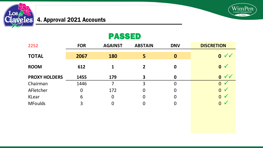

#### **Exveles 4. Approval 2021 Accounts**

## PASSED

WimPen

by ONA

| 2252                 | <b>FOR</b> | <b>AGAINST</b>   | <b>ABSTAIN</b> | <b>DNV</b> | <b>DISCRETION</b>           |
|----------------------|------------|------------------|----------------|------------|-----------------------------|
| <b>TOTAL</b>         | 2067       | <b>180</b>       | 5              | $\bf{0}$   | $0 \vee$                    |
| <b>ROOM</b>          | 612        |                  | $\overline{2}$ | 0          | $0 \sqrt{}$                 |
| <b>PROXY HOLDERS</b> | 1455       | 179              | 3              | 0          | 0 <sub>1</sub>              |
| Chairman             | 1446       | 7                | 3              | 0          | $\Omega$                    |
| AFletcher            | 0          | 172              | 0              | 0          | $\Omega$<br>$\checkmark$    |
| KLear                | 6          | $\boldsymbol{0}$ | 0              | 0          | $\overline{0}$<br>$\sqrt{}$ |
| <b>MFoulds</b>       | 3          | 0                |                | 0          | $\overline{0}$              |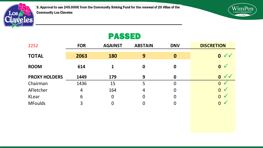

5. Approval to use 245.000€ from the Community Sinking Fund for the renewal of 20 Villas of the Community Los Claveles



# PASSED

| 2252                 | <b>FOR</b> | <b>AGAINST</b> | <b>ABSTAIN</b> | <b>DNV</b> | <b>DISCRETION</b>            |
|----------------------|------------|----------------|----------------|------------|------------------------------|
| <b>TOTAL</b>         | 2063       | <b>180</b>     | 9              | 0          | $0 \vee \vee$                |
| <b>ROOM</b>          | 614        | 1              | 0              | 0          | 0 <sub>0</sub>               |
| <b>PROXY HOLDERS</b> | 1449       | 179            | 9              | 0          | $\checkmark$<br>$\mathbf{0}$ |
| Chairman             | 1436       | 15             | 5              | 0          | $\overline{0}$               |
| AFletcher            | 4          | 164            | 4              | 0          | $0 \sqrt{}$                  |
| KLear                | 6          | 0              | $\overline{0}$ | 0          | $\overline{0}$<br>$\sqrt{}$  |
| <b>MFoulds</b>       | 3          | 0              | 0              | 0          | $\overline{0}$<br>$\sqrt{}$  |